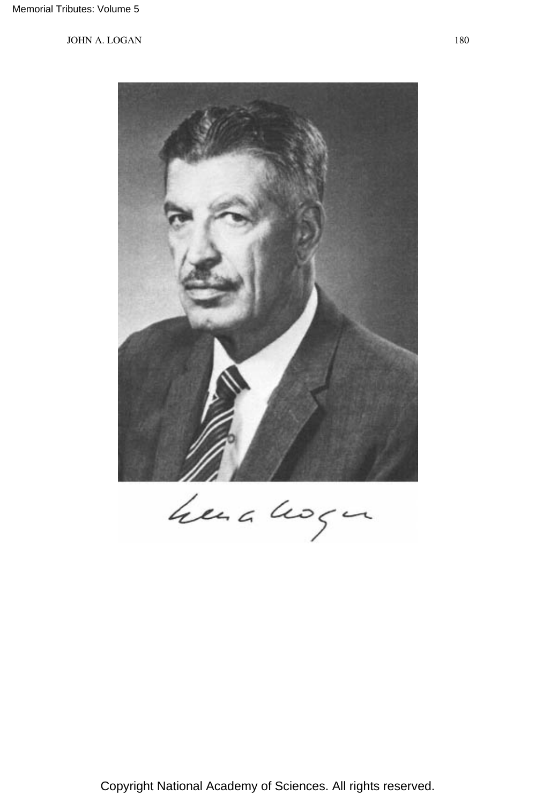

hera hogen

Copyright National Academy of Sciences. All rights reserved.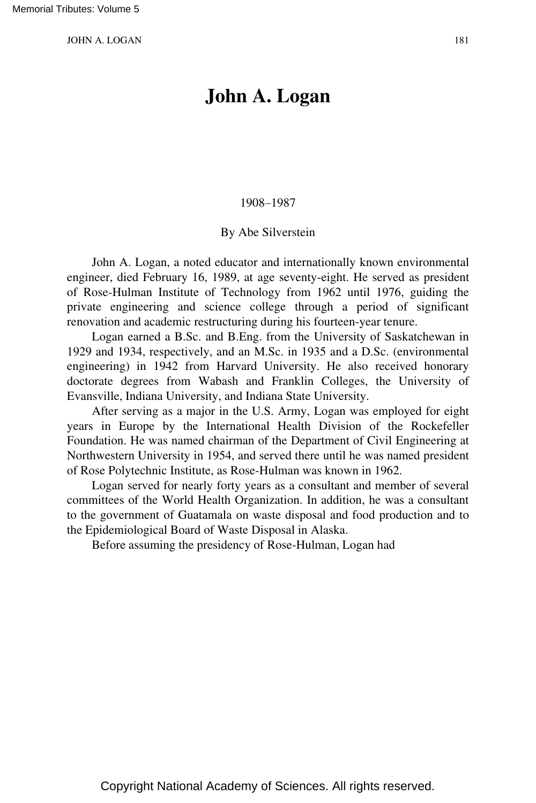# **John A. Logan**

#### 1908–1987

#### By Abe Silverstein

John A. Logan, a noted educator and internationally known environmental engineer, died February 16, 1989, at age seventy-eight. He served as president of Rose-Hulman Institute of Technology from 1962 until 1976, guiding the private engineering and science college through a period of significant renovation and academic restructuring during his fourteen-year tenure.

Logan earned a B.Sc. and B.Eng. from the University of Saskatchewan in 1929 and 1934, respectively, and an M.Sc. in 1935 and a D.Sc. (environmental engineering) in 1942 from Harvard University. He also received honorary doctorate degrees from Wabash and Franklin Colleges, the University of Evansville, Indiana University, and Indiana State University.

After serving as a major in the U.S. Army, Logan was employed for eight years in Europe by the International Health Division of the Rockefeller Foundation. He was named chairman of the Department of Civil Engineering at Northwestern University in 1954, and served there until he was named president of Rose Polytechnic Institute, as Rose-Hulman was known in 1962.

Logan served for nearly forty years as a consultant and member of several committees of the World Health Organization. In addition, he was a consultant to the government of Guatamala on waste disposal and food production and to the Epidemiological Board of Waste Disposal in Alaska.

Before assuming the presidency of Rose-Hulman, Logan had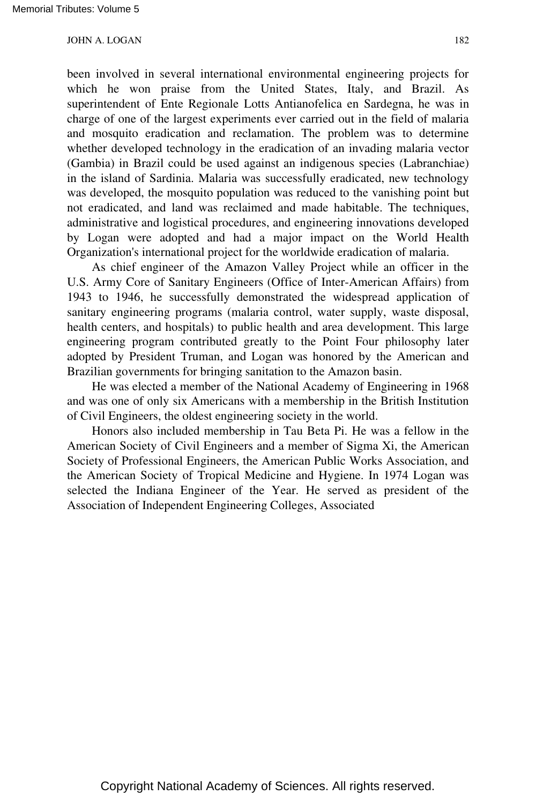been involved in several international environmental engineering projects for which he won praise from the United States, Italy, and Brazil. As superintendent of Ente Regionale Lotts Antianofelica en Sardegna, he was in charge of one of the largest experiments ever carried out in the field of malaria and mosquito eradication and reclamation. The problem was to determine whether developed technology in the eradication of an invading malaria vector (Gambia) in Brazil could be used against an indigenous species (Labranchiae) in the island of Sardinia. Malaria was successfully eradicated, new technology was developed, the mosquito population was reduced to the vanishing point but not eradicated, and land was reclaimed and made habitable. The techniques, administrative and logistical procedures, and engineering innovations developed by Logan were adopted and had a major impact on the World Health Organization's international project for the worldwide eradication of malaria.

As chief engineer of the Amazon Valley Project while an officer in the U.S. Army Core of Sanitary Engineers (Office of Inter-American Affairs) from 1943 to 1946, he successfully demonstrated the widespread application of sanitary engineering programs (malaria control, water supply, waste disposal, health centers, and hospitals) to public health and area development. This large engineering program contributed greatly to the Point Four philosophy later adopted by President Truman, and Logan was honored by the American and Brazilian governments for bringing sanitation to the Amazon basin.

He was elected a member of the National Academy of Engineering in 1968 and was one of only six Americans with a membership in the British Institution of Civil Engineers, the oldest engineering society in the world.

Honors also included membership in Tau Beta Pi. He was a fellow in the American Society of Civil Engineers and a member of Sigma Xi, the American Society of Professional Engineers, the American Public Works Association, and the American Society of Tropical Medicine and Hygiene. In 1974 Logan was selected the Indiana Engineer of the Year. He served as president of the Association of Independent Engineering Colleges, Associated